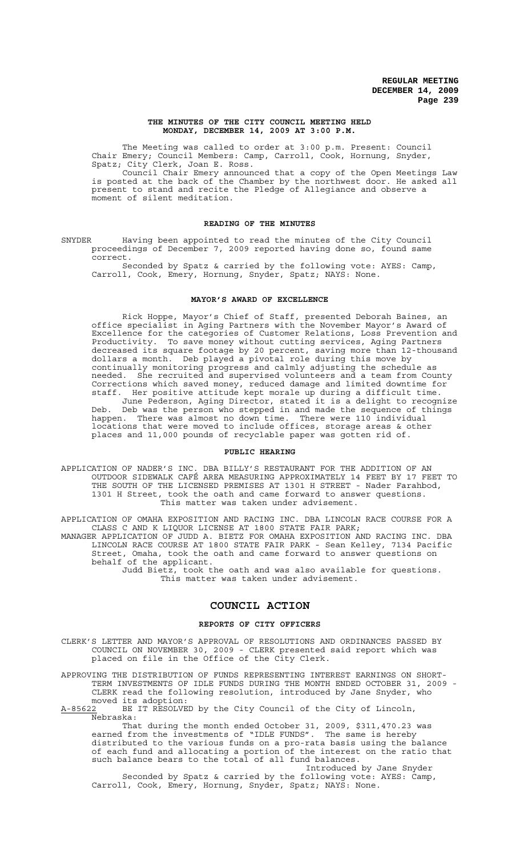### **THE MINUTES OF THE CITY COUNCIL MEETING HELD MONDAY, DECEMBER 14, 2009 AT 3:00 P.M.**

The Meeting was called to order at 3:00 p.m. Present: Council Chair Emery; Council Members: Camp, Carroll, Cook, Hornung, Snyder, Spatz; City Clerk, Joan E. Ross.

Council Chair Emery announced that a copy of the Open Meetings Law is posted at the back of the Chamber by the northwest door. He asked all present to stand and recite the Pledge of Allegiance and observe a moment of silent meditation.

## **READING OF THE MINUTES**

SNYDER Having been appointed to read the minutes of the City Council proceedings of December 7, 2009 reported having done so, found same correct.

Seconded by Spatz & carried by the following vote: AYES: Camp, Carroll, Cook, Emery, Hornung, Snyder, Spatz; NAYS: None.

## **MAYOR'S AWARD OF EXCELLENCE**

Rick Hoppe, Mayor's Chief of Staff, presented Deborah Baines, an office specialist in Aging Partners with the November Mayor's Award of Excellence for the categories of Customer Relations, Loss Prevention and Productivity. To save money without cutting services, Aging Partners decreased its square footage by 20 percent, saving more than 12-thousand dollars a month. Deb played a pivotal role during this move by continually monitoring progress and calmly adjusting the schedule as needed. She recruited and supervised volunteers and a team from County Corrections which saved money, reduced damage and limited downtime for staff. Her positive attitude kept morale up during a difficult time. June Pederson, Aging Director, stated it is a delight to recognize Deb. Deb was the person who stepped in and made the sequence of things happen. There was almost no down time. There were 110 individual

locations that were moved to include offices, storage areas & other places and 11,000 pounds of recyclable paper was gotten rid of.

## **PUBLIC HEARING**

APPLICATION OF NADER'S INC. DBA BILLY'S RESTAURANT FOR THE ADDITION OF AN OUTDOOR SIDEWALK CAFÉ AREA MEASURING APPROXIMATELY 14 FEET BY 17 FEET TO THE SOUTH OF THE LICENSED PREMISES AT 1301 H STREET - Nader Farahbod, 1301 H Street, took the oath and came forward to answer questions. This matter was taken under advisement.

APPLICATION OF OMAHA EXPOSITION AND RACING INC. DBA LINCOLN RACE COURSE FOR A CLASS C AND K LIQUOR LICENSE AT 1800 STATE FAIR PARK; MANAGER APPLICATION OF JUDD A. BIETZ FOR OMAHA EXPOSITION AND RACING INC. DBA LINCOLN RACE COURSE AT 1800 STATE FAIR PARK - Sean Kelley, 7134 Pacific Street, Omaha, took the oath and came forward to answer questions on behalf of the applicant. Judd Bietz, took the oath and was also available for questions. This matter was taken under advisement.

## **COUNCIL ACTION**

### **REPORTS OF CITY OFFICERS**

CLERK'S LETTER AND MAYOR'S APPROVAL OF RESOLUTIONS AND ORDINANCES PASSED BY COUNCIL ON NOVEMBER 30, 2009 - CLERK presented said report which was placed on file in the Office of the City Clerk.

APPROVING THE DISTRIBUTION OF FUNDS REPRESENTING INTEREST EARNINGS ON SHORT-TERM INVESTMENTS OF IDLE FUNDS DURING THE MONTH ENDED OCTOBER 31, 2009 - CLERK read the following resolution, introduced by Jane Snyder, who

moved its adoption:<br>A-85622 BE IT RESOLVE BE IT RESOLVED by the City Council of the City of Lincoln, Nebraska:

That during the month ended October 31, 2009, \$311,470.23 was earned from the investments of "IDLE FUNDS". The same is hereby distributed to the various funds on a pro-rata basis using the balance of each fund and allocating a portion of the interest on the ratio that such balance bears to the total of all fund balances.

Introduced by Jane Snyder Seconded by Spatz & carried by the following vote: AYES: Camp, Carroll, Cook, Emery, Hornung, Snyder, Spatz; NAYS: None.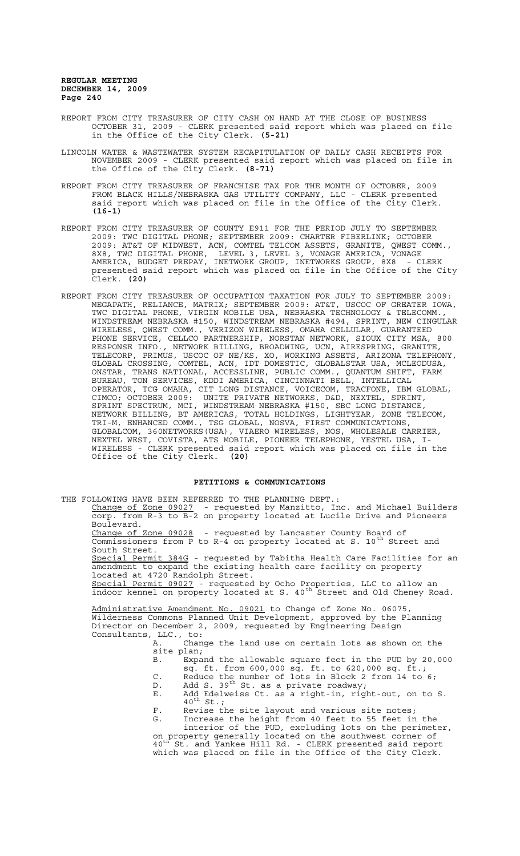- REPORT FROM CITY TREASURER OF CITY CASH ON HAND AT THE CLOSE OF BUSINESS OCTOBER 31, 2009 - CLERK presented said report which was placed on file in the Office of the City Clerk. **(5-21)**
- LINCOLN WATER & WASTEWATER SYSTEM RECAPITULATION OF DAILY CASH RECEIPTS FOR NOVEMBER 2009 - CLERK presented said report which was placed on file in the Office of the City Clerk. **(8-71)**
- REPORT FROM CITY TREASURER OF FRANCHISE TAX FOR THE MONTH OF OCTOBER, 2009 FROM BLACK HILLS/NEBRASKA GAS UTILITY COMPANY, LLC - CLERK presented said report which was placed on file in the Office of the City Clerk. **(16-1)**
- REPORT FROM CITY TREASURER OF COUNTY E911 FOR THE PERIOD JULY TO SEPTEMBER 2009: TWC DIGITAL PHONE; SEPTEMBER 2009: CHARTER FIBERLINK; OCTOBER 2009: AT&T OF MIDWEST, ACN, COMTEL TELCOM ASSETS, GRANITE, QWEST COMM., 8X8, TWC DIGITAL PHONE, LEVEL 3, LEVEL 3, VONAGE AMERICA, VONAGE AMERICA, BUDGET PREPAY, INETWORK GROUP, INETWORKS GROUP, 8X8 - CLERK presented said report which was placed on file in the Office of the City Clerk. **(20)**
- REPORT FROM CITY TREASURER OF OCCUPATION TAXATION FOR JULY TO SEPTEMBER 2009: MEGAPATH, RELIANCE, MATRIX; SEPTEMBER 2009: AT&T, USCOC OF GREATER IOWA, TWC DIGITAL PHONE, VIRGIN MOBILE USA, NEBRASKA TECHNOLOGY & TELECOMM., WINDSTREAM NEBRASKA #150, WINDSTREAM NEBRASKA #494, SPRINT, NEW CINGULAR WIRELESS, QWEST COMM., VERIZON WIRELESS, OMAHA CELLULAR, GUARANTEED PHONE SERVICE, CELLCO PARTNERSHIP, NORSTAN NETWORK, SIOUX CITY MSA, 800 RESPONSE INFO., NETWORK BILLING, BROADWING, UCN, AIRESPRING, GRANITE, TELECORP, PRIMUS, USCOC OF NE/KS, XO, WORKING ASSETS, ARIZONA TELEPHONY, GLOBAL CROSSING, COMTEL, ACN, IDT DOMESTIC, GLOBALSTAR USA, MCLEODUSA, ONSTAR, TRANS NATIONAL, ACCESSLINE, PUBLIC COMM., QUANTUM SHIFT, FARM BUREAU, TON SERVICES, KDDI AMERICA, CINCINNATI BELL, INTELLICAL OPERATOR, TCG OMAHA, CIT LONG DISTANCE, VOICECOM, TRACFONE, IBM GLOBAL, CIMCO; OCTOBER 2009: UNITE PRIVATE NETWORKS, D&D, NEXTEL, SPRINT, SPRINT SPECTRUM, MCI, WINDSTREAM NEBRASKA #150, SBC LONG DISTANCE, NETWORK BILLING, BT AMERICAS, TOTAL HOLDINGS, LIGHTYEAR, ZONE TELECOM, TRI-M, ENHANCED COMM., TSG GLOBAL, NOSVA, FIRST COMMUNICATIONS, GLOBALCOM, 360NETWORKS(USA), VIAERO WIRELESS, NOS, WHOLESALE CARRIER, NEXTEL WEST, COVISTA, ATS MOBILE, PIONEER TELEPHONE, YESTEL USA, I-WIRELESS - CLERK presented said report which was placed on file in the Office of the City Clerk. **(20)**

### **PETITIONS & COMMUNICATIONS**

THE FOLLOWING HAVE BEEN REFERRED TO THE PLANNING DEPT.:

Change of Zone 09027 - requested by Manzitto, Inc. and Michael Builders corp. from R-3 to B-2 on property located at Lucile Drive and Pioneers Boulevard.

Change of Zone 09028 - requested by Lancaster County Board of Commissioners from P to R-4 on property located at S. 10<sup>th</sup> Street and South Street.

Special Permit 384G - requested by Tabitha Health Care Facilities for an amendment to expand the existing health care facility on property located at 4720 Randolph Street.

Special Permit 09027 - requested by Ocho Properties, LLC to allow an indoor kennel on property located at S. 40<sup>th</sup> Street and Old Cheney Road.

Administrative Amendment No. 09021 to Change of Zone No. 06075, Wilderness Commons Planned Unit Development, approved by the Planning Director on December 2, 2009, requested by Engineering Design Consultants, LLC., to:

A. Change the land use on certain lots as shown on the site plan;<br>B. Expand the allowable square feet in the PUD by 20,000

- B. Expand the allowable square feet in the PUD by 20,000 sq. ft. from 600,000 sq. ft. to 620,000 sq. ft.;
- C. Reduce the number of lots in Block 2 from 14 to 6;
- D. Add S. 39<sup>th</sup> St. as a private roadway;
- E. Add Edelweiss Ct. as a right-in, right-out, on to S.  $40^{\text{th}}$  St.;
- F. Revise the site layout and various site notes; G. Increase the height from 40 feet to 55 feet in the

interior of the PUD, excluding lots on the perimeter, on property generally located on the southwest corner of 40<sup>th</sup> St. and Yankee Hill Rd. - CLERK presented said report which was placed on file in the Office of the City Clerk.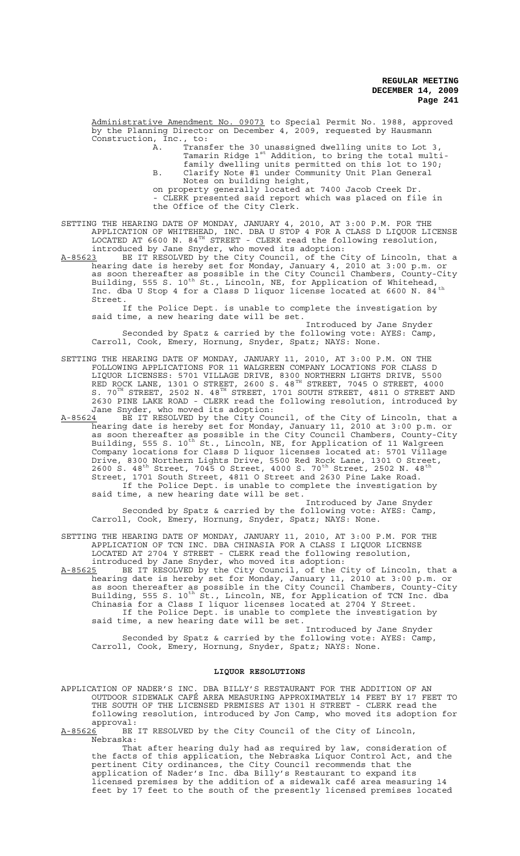Administrative Amendment No. 09073 to Special Permit No. 1988, approved by the Planning Director on December 4, 2009, requested by Hausmann Construction, Inc., to:

- A. Transfer the 30 unassigned dwelling units to Lot 3, Tamarin Ridge 1st Addition, to bring the total multifamily dwelling units permitted on this lot to 190; B. Clarify Note #1 under Community Unit Plan General Notes on building height,
- on property generally located at 7400 Jacob Creek Dr. - CLERK presented said report which was placed on file in the Office of the City Clerk.

SETTING THE HEARING DATE OF MONDAY, JANUARY 4, 2010, AT 3:00 P.M. FOR THE APPLICATION OF WHITEHEAD, INC. DBA U STOP 4 FOR A CLASS D LIQUOR LICENSE LOCATED AT 6600 N. 84 $^{TH}$  STREET - CLERK read the following resolution, introduced by Jane Snyder, who moved its adoption:

A-85623 BE IT RESOLVED by the City Council, of the City of Lincoln, that a hearing date is hereby set for Monday, January 4, 2010 at 3:00 p.m. or as soon thereafter as possible in the City Council Chambers, County-City Building, 555 S. 10<sup>th</sup> St., Lincoln, NE, for Application of Whitehead, Inc. dba U Stop 4 for a Class D liquor license located at 6600 N. 84<sup>th</sup> Street.

If the Police Dept. is unable to complete the investigation by said time, a new hearing date will be set.

Introduced by Jane Snyder Seconded by Spatz & carried by the following vote: AYES: Camp, Carroll, Cook, Emery, Hornung, Snyder, Spatz; NAYS: None.

- SETTING THE HEARING DATE OF MONDAY, JANUARY 11, 2010, AT 3:00 P.M. ON THE FOLLOWING APPLICATIONS FOR 11 WALGREEN COMPANY LOCATIONS FOR CLASS D LIQUOR LICENSES: 5701 VILLAGE DRIVE, 8300 NORTHERN LIGHTS DRIVE, 5500 RED ROCK LANE, 1301 O STREET, 2600 S. 48<sup>TH</sup> STREET, 7045 O STREET, 4000 S.  $70^{\text{TH}}$  STREET, 2502 N.  $48^{\text{TH}}$  STREET, 1701 SOUTH STREET, 4811 O STREET AND 2630 PINE LAKE ROAD - CLERK read the following resolution, introduced by Jane Snyder, who moved its adoption:
- A-85624 BE IT RESOLVED by the City Council, of the City of Lincoln, that a hearing date is hereby set for Monday, January 11, 2010 at 3:00 p.m. or as soon thereafter as possible in the City Council Chambers, County-City Building, 555 S. 10<sup>th</sup> St., Lincoln, NE, for Application of 11 Walgreen Company locations for Class D liquor licenses located at: 5701 Village Drive, 8300 Northern Lights Drive, 5500 Red Rock Lane, 1301 O Street, 2600 S.  $48^{th}$  Street, 7045 O Street, 4000 S. 70<sup>th</sup> Street, 2502 N.  $48^{th}$ Street, 1701 South Street, 4811 O Street and 2630 Pine Lake Road. If the Police Dept. is unable to complete the investigation by said time, a new hearing date will be set.

Introduced by Jane Snyder Seconded by Spatz & carried by the following vote: AYES: Camp, Carroll, Cook, Emery, Hornung, Snyder, Spatz; NAYS: None.

SETTING THE HEARING DATE OF MONDAY, JANUARY 11, 2010, AT 3:00 P.M. FOR THE APPLICATION OF TCN INC. DBA CHINASIA FOR A CLASS I LIQUOR LICENSE LOCATED AT 2704 Y STREET - CLERK read the following resolution, introduced by Jane Snyder, who moved its adoption:

A-85625 BE IT RESOLVED by the City Council, of the City of Lincoln, that a hearing date is hereby set for Monday, January 11, 2010 at 3:00 p.m. or as soon thereafter as possible in the City Council Chambers, County-City Building, 555 S. 10<sup>th</sup> St., Lincoln, NE, for Application of TCN Inc. dba Chinasia for a Class I liquor licenses located at 2704 Y Street. If the Police Dept. is unable to complete the investigation by said time, a new hearing date will be set.

Introduced by Jane Snyder Seconded by Spatz & carried by the following vote: AYES: Camp, Carroll, Cook, Emery, Hornung, Snyder, Spatz; NAYS: None.

## **LIQUOR RESOLUTIONS**

APPLICATION OF NADER'S INC. DBA BILLY'S RESTAURANT FOR THE ADDITION OF AN OUTDOOR SIDEWALK CAFÉ AREA MEASURING APPROXIMATELY 14 FEET BY 17 FEET TO THE SOUTH OF THE LICENSED PREMISES AT 1301 H STREET - CLERK read the following resolution, introduced by Jon Camp, who moved its adoption for approval:<br>A-85626 BE

BE IT RESOLVED by the City Council of the City of Lincoln, Nebraska:

That after hearing duly had as required by law, consideration of the facts of this application, the Nebraska Liquor Control Act, and the pertinent City ordinances, the City Council recommends that the application of Nader's Inc. dba Billy's Restaurant to expand its licensed premises by the addition of a sidewalk café area measuring 14 feet by 17 feet to the south of the presently licensed premises located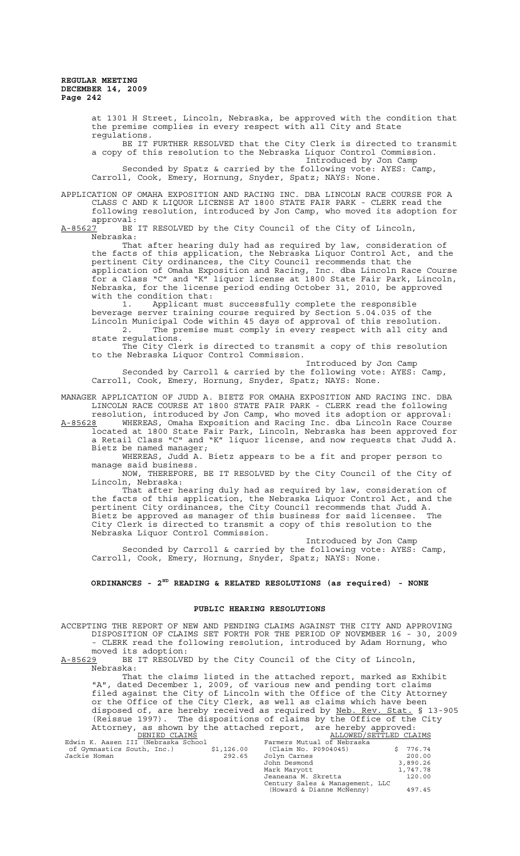at 1301 H Street, Lincoln, Nebraska, be approved with the condition that the premise complies in every respect with all City and State regulations.

BE IT FURTHER RESOLVED that the City Clerk is directed to transmit a copy of this resolution to the Nebraska Liquor Control Commission. Introduced by Jon Camp

Seconded by Spatz & carried by the following vote: AYES: Camp, Carroll, Cook, Emery, Hornung, Snyder, Spatz; NAYS: None.

APPLICATION OF OMAHA EXPOSITION AND RACING INC. DBA LINCOLN RACE COURSE FOR A CLASS C AND K LIQUOR LICENSE AT 1800 STATE FAIR PARK - CLERK read the following resolution, introduced by Jon Camp, who moved its adoption for

approval:<br>A-85627 BE BE IT RESOLVED by the City Council of the City of Lincoln, Nebraska:

That after hearing duly had as required by law, consideration of the facts of this application, the Nebraska Liquor Control Act, and the pertinent City ordinances, the City Council recommends that the application of Omaha Exposition and Racing, Inc. dba Lincoln Race Course for a Class "C" and "K" liquor license at 1800 State Fair Park, Lincoln, Nebraska, for the license period ending October 31, 2010, be approved with the condition that:

1. Applicant must successfully complete the responsible beverage server training course required by Section 5.04.035 of the Lincoln Municipal Code within 45 days of approval of this resolution. 2. The premise must comply in every respect with all city and state regulations.

The City Clerk is directed to transmit a copy of this resolution to the Nebraska Liquor Control Commission.

Introduced by Jon Camp Seconded by Carroll & carried by the following vote: AYES: Camp, Carroll, Cook, Emery, Hornung, Snyder, Spatz; NAYS: None.

MANAGER APPLICATION OF JUDD A. BIETZ FOR OMAHA EXPOSITION AND RACING INC. DBA LINCOLN RACE COURSE AT 1800 STATE FAIR PARK - CLERK read the following resolution, introduced by Jon Camp, who moved its adoption or approval:

A-85628 MHEREAS, Omaha Exposition and Racing Inc. dba Lincoln Race Course located at 1800 State Fair Park, Lincoln, Nebraska has been approved for a Retail Class "C" and "K" liquor license, and now requests that Judd A.

Bietz be named manager;

WHEREAS, Judd A. Bietz appears to be a fit and proper person to manage said business.

NOW, THEREFORE, BE IT RESOLVED by the City Council of the City of Lincoln, Nebraska:

That after hearing duly had as required by law, consideration of the facts of this application, the Nebraska Liquor Control Act, and the pertinent City ordinances, the City Council recommends that Judd A. Bietz be approved as manager of this business for said licensee. The City Clerk is directed to transmit a copy of this resolution to the Nebraska Liquor Control Commission.

Introduced by Jon Camp Seconded by Carroll & carried by the following vote: AYES: Camp, Carroll, Cook, Emery, Hornung, Snyder, Spatz; NAYS: None.

# **ORDINANCES - 2ND READING & RELATED RESOLUTIONS (as required) - NONE**

# **PUBLIC HEARING RESOLUTIONS**

ACCEPTING THE REPORT OF NEW AND PENDING CLAIMS AGAINST THE CITY AND APPROVING DISPOSITION OF CLAIMS SET FORTH FOR THE PERIOD OF NOVEMBER 16 - 30, 2009 - CLERK read the following resolution, introduced by Adam Hornung, who moved its adoption:<br>A-85629 BE IT RESOLVE BE IT RESOLVED by the City Council of the City of Lincoln, Nebraska: That the claims listed in the attached report, marked as Exhibit "A", dated December 1, 2009, of various new and pending tort claims filed against the City of Lincoln with the Office of the City Attorney or the Office of the City Clerk, as well as claims which have been disposed of, are hereby received as required by Neb. Rev. Stat. § 13-905 (Reissue 1997). The dispositions of claims by the Office of the City Attorney, as shown by the attached report, are hereby approved: ALLOWED/SETTLED CLAIMS<br>Farmers Mutual of Nebraska Edwin K. Aasen III (Nebraska School Farmers Mutual of Nebraska School Farmers Mutual of Nebraska School Farmers Mutual of Nebraska School (Claim No. P0904045)<br>Jackie Homan 292.65 Jolyn Carnes of Gymnastics South, Inc.) \$1,126.00 (Claim No. P0904045) \$ 776.74 Jackie Homan 292.65 Jolyn Carnes 200.00

John Desmond 3,890.26 Mark Maryott 1,747.78 Jeaneana M. Skretta 120.00 Century Sales & Management, LLC (Howard & Dianne McNenny) 497.45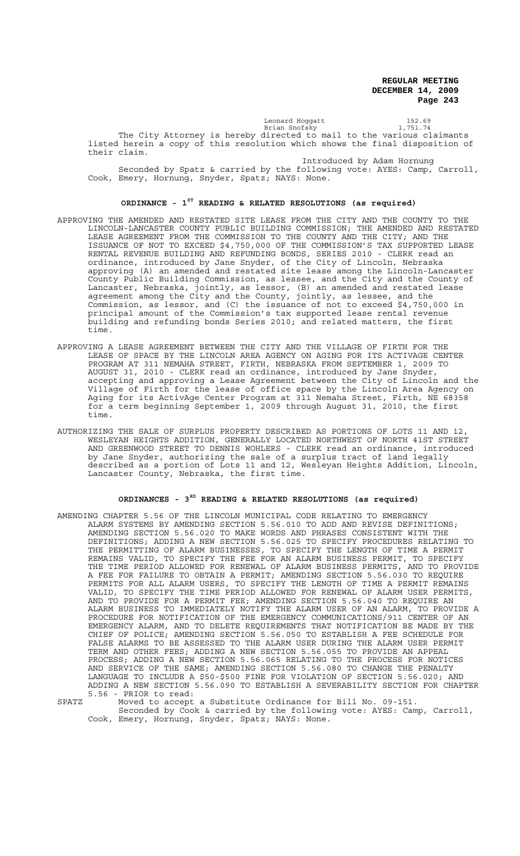Leonard Hoggatt 152.69 Brian Snofsky 1,751.74 The City Attorney is hereby directed to mail to the various claimants listed herein a copy of this resolution which shows the final disposition of their claim.

Introduced by Adam Hornung

Seconded by Spatz & carried by the following vote: AYES: Camp, Carroll, Cook, Emery, Hornung, Snyder, Spatz; NAYS: None.

# **ORDINANCE - 1ST READING & RELATED RESOLUTIONS (as required)**

- APPROVING THE AMENDED AND RESTATED SITE LEASE FROM THE CITY AND THE COUNTY TO THE LINCOLN-LANCASTER COUNTY PUBLIC BUILDING COMMISSION; THE AMENDED AND RESTATED LEASE AGREEMENT FROM THE COMMISSION TO THE COUNTY AND THE CITY; AND THE ISSUANCE OF NOT TO EXCEED \$4,750,000 OF THE COMMISSION'S TAX SUPPORTED LEASE RENTAL REVENUE BUILDING AND REFUNDING BONDS, SERIES 2010 - CLERK read an ordinance, introduced by Jane Snyder, of the City of Lincoln, Nebraska approving (A) an amended and restated site lease among the Lincoln-Lancaster County Public Building Commission, as lessee, and the City and the County of Lancaster, Nebraska, jointly, as lessor, (B) an amended and restated lease agreement among the City and the County, jointly, as lessee, and the Commission, as lessor, and (C) the issuance of not to exceed \$4,750,000 in principal amount of the Commission's tax supported lease rental revenue building and refunding bonds Series 2010; and related matters, the first time.
- APPROVING A LEASE AGREEMENT BETWEEN THE CITY AND THE VILLAGE OF FIRTH FOR THE LEASE OF SPACE BY THE LINCOLN AREA AGENCY ON AGING FOR ITS ACTIVAGE CENTER PROGRAM AT 311 NEMAHA STREET, FIRTH, NEBRASKA FROM SEPTEMBER 1, 2009 TO AUGUST 31, 2010 - CLERK read an ordinance, introduced by Jane Snyder, accepting and approving a Lease Agreement between the City of Lincoln and the Village of Firth for the lease of office space by the Lincoln Area Agency on Aging for its ActivAge Center Program at 311 Nemaha Street, Firth, NE 68358 for a term beginning September 1, 2009 through August 31, 2010, the first time.
- AUTHORIZING THE SALE OF SURPLUS PROPERTY DESCRIBED AS PORTIONS OF LOTS 11 AND 12, WESLEYAN HEIGHTS ADDITION, GENERALLY LOCATED NORTHWEST OF NORTH 41ST STREET AND GREENWOOD STREET TO DENNIS WOHLERS - CLERK read an ordinance, introduced by Jane Snyder, authorizing the sale of a surplus tract of land legally described as a portion of Lots 11 and 12, Wesleyan Heights Addition, Lincoln, Lancaster County, Nebraska, the first time.

# **ORDINANCES - 3RD READING & RELATED RESOLUTIONS (as required)**

AMENDING CHAPTER 5.56 OF THE LINCOLN MUNICIPAL CODE RELATING TO EMERGENCY ALARM SYSTEMS BY AMENDING SECTION 5.56.010 TO ADD AND REVISE DEFINITIONS; AMENDING SECTION 5.56.020 TO MAKE WORDS AND PHRASES CONSISTENT WITH THE DEFINITIONS; ADDING A NEW SECTION 5.56.025 TO SPECIFY PROCEDURES RELATING TO THE PERMITTING OF ALARM BUSINESSES, TO SPECIFY THE LENGTH OF TIME A PERMIT REMAINS VALID, TO SPECIFY THE FEE FOR AN ALARM BUSINESS PERMIT, TO SPECIFY THE TIME PERIOD ALLOWED FOR RENEWAL OF ALARM BUSINESS PERMITS, AND TO PROVIDE A FEE FOR FAILURE TO OBTAIN A PERMIT; AMENDING SECTION 5.56.030 TO REQUIRE PERMITS FOR ALL ALARM USERS, TO SPECIFY THE LENGTH OF TIME A PERMIT REMAINS VALID, TO SPECIFY THE TIME PERIOD ALLOWED FOR RENEWAL OF ALARM USER PERMITS, AND TO PROVIDE FOR A PERMIT FEE; AMENDING SECTION 5.56.040 TO REQUIRE AN ALARM BUSINESS TO IMMEDIATELY NOTIFY THE ALARM USER OF AN ALARM, TO PROVIDE A PROCEDURE FOR NOTIFICATION OF THE EMERGENCY COMMUNICATIONS/911 CENTER OF AN EMERGENCY ALARM, AND TO DELETE REQUIREMENTS THAT NOTIFICATION BE MADE BY THE CHIEF OF POLICE; AMENDING SECTION 5.56.050 TO ESTABLISH A FEE SCHEDULE FOR FALSE ALARMS TO BE ASSESSED TO THE ALARM USER DURING THE ALARM USER PERMIT TERM AND OTHER FEES; ADDING A NEW SECTION 5.56.055 TO PROVIDE AN APPEAL PROCESS; ADDING A NEW SECTION 5.56.065 RELATING TO THE PROCESS FOR NOTICES AND SERVICE OF THE SAME; AMENDING SECTION 5.56.080 TO CHANGE THE PENALTY LANGUAGE TO INCLUDE A \$50-\$500 FINE FOR VIOLATION OF SECTION 5.56.020; AND ADDING A NEW SECTION 5.56.090 TO ESTABLISH A SEVERABILITY SECTION FOR CHAPTER 5.56 - PRIOR to read:

SPATZ Moved to accept a Substitute Ordinance for Bill No. 09-151. Seconded by Cook & carried by the following vote: AYES: Camp, Carroll, Cook, Emery, Hornung, Snyder, Spatz; NAYS: None.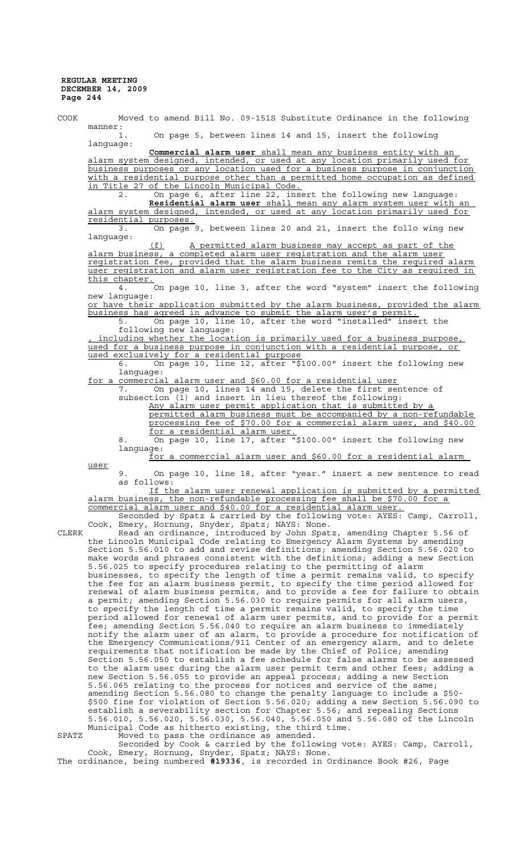COOK Moved to amend Bill No. 09-151S Substitute Ordinance in the following manner: 1. On page 5, between lines 14 and 15, insert the following language: **Commercial alarm user** shall mean any business entity with an alarm system designed, intended, or used at any location primarily used for business purposes or any location used for a business purpose in conjunction with a residential purpose other than a permitted home occupation as defined in Title 27 of the Lincoln Municipal Code. 2. On page 6, after line 22, insert the following new language: **Residential alarm user** shall mean any alarm system user with an alarm system designed, intended, or used at any location primarily used for residential purposes. 3. On page 9, between lines 20 and 21, insert the follo wing new language: (f) A permitted alarm business may accept as part of the alarm business, a completed alarm user registration and the alarm user registration fee, provided that the alarm business remits the required alarm user registration and alarm user registration fee to the City as required in this chapter. 4. On page 10, line 3, after the word "system" insert the following new language: or have their application submitted by the alarm business, provided the alarm business has agreed in advance to submit the alarm user's permit.<br>5. On page 10, line 10, after the word "installed" in: On page 10, line 10, after the word "installed" insert the following new language: including whether the location is primarily used for a business purpose, used for a business purpose in conjunction with a residential purpose, or used exclusively for a residential purpose 6. On page 10, line 12, after "\$100.00" insert the following new language: for a commercial alarm user and \$60.00 for a residential user 7. On page 10, lines 14 and 15, delete the first sentence of subsection (1) and insert in lieu thereof the following: Any alarm user permit application that is submitted by a permitted alarm business must be accompanied by a non-refundable processing fee of \$70.00 for a commercial alarm user, and \$40.00 for a residential alarm user. 8. On page 10, line 17, after "\$100.00" insert the following new language: for a commercial alarm user and \$60.00 for a residential alarm user 9. On page 10, line 18, after "year." insert a new sentence to read as follows: If the alarm user renewal application is submitted by a permitted alarm business, the non-refundable processing fee shall be \$70.00 for a commercial alarm user and \$40.00 for a residential alarm user. Seconded by Spatz & carried by the following vote: AYES: Camp, Carroll, Cook, Emery, Hornung, Snyder, Spatz; NAYS: None. CLERK Read an ordinance, introduced by John Spatz, amending Chapter 5.56 of the Lincoln Municipal Code relating to Emergency Alarm Systems by amending Section 5.56.010 to add and revise definitions; amending Section 5.56.020 to make words and phrases consistent with the definitions; adding a new Section 5.56.025 to specify procedures relating to the permitting of alarm businesses, to specify the length of time a permit remains valid, to specify the fee for an alarm business permit, to specify the time period allowed for renewal of alarm business permits, and to provide a fee for failure to obtain a permit; amending Section 5.56.030 to require permits for all alarm users, to specify the length of time a permit remains valid, to specify the time period allowed for renewal of alarm user permits, and to provide for a permit fee; amending Section 5.56.040 to require an alarm business to immediately notify the alarm user of an alarm, to provide a procedure for notification of the Emergency Communications/911 Center of an emergency alarm, and to delete requirements that notification be made by the Chief of Police; amending Section 5.56.050 to establish a fee schedule for false alarms to be assessed to the alarm user during the alarm user permit term and other fees; adding a new Section 5.56.055 to provide an appeal process; adding a new Section 5.56.065 relating to the process for notices and service of the same; amending Section 5.56.080 to change the penalty language to include a \$50- \$500 fine for violation of Section 5.56.020; adding a new Section 5.56.090 to establish a severability section for Chapter 5.56; and repealing Sections 5.56.010, 5.56.020, 5.56.030, 5.56.040, 5.56.050 and 5.56.080 of the Lincoln Municipal Code as hitherto existing, the third time. SPATZ Moved to pass the ordinance as amended. Seconded by Cook & carried by the following vote: AYES: Camp, Carroll,

Cook, Emery, Hornung, Snyder, Spatz; NAYS: None. The ordinance, being numbered **#19336**, is recorded in Ordinance Book #26, Page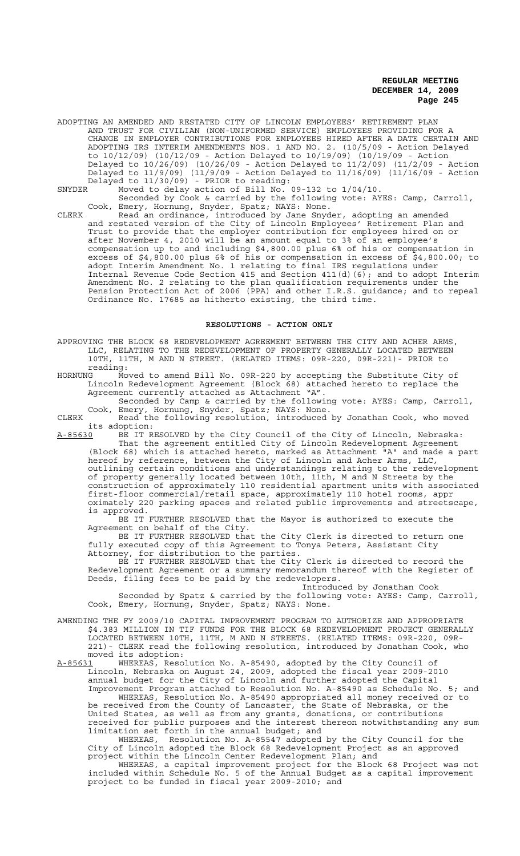ADOPTING AN AMENDED AND RESTATED CITY OF LINCOLN EMPLOYEES' RETIREMENT PLAN AND TRUST FOR CIVILIAN (NON-UNIFORMED SERVICE) EMPLOYEES PROVIDING FOR A CHANGE IN EMPLOYER CONTRIBUTIONS FOR EMPLOYEES HIRED AFTER A DATE CERTAIN AND ADOPTING IRS INTERIM AMENDMENTS NOS. 1 AND NO. 2. (10/5/09 - Action Delayed to 10/12/09) (10/12/09 - Action Delayed to 10/19/09) (10/19/09 - Action Delayed to 10/26/09) (10/26/09 - Action Delayed to 11/2/09) (11/2/09 - Action Delayed to 11/9/09) (11/9/09 - Action Delayed to 11/16/09) (11/16/09 - Action Delayed to 11/30/09) - PRIOR to reading:

SNYDER Moved to delay action of Bill No. 09-132 to 1/04/10. Seconded by Cook & carried by the following vote: AYES: Camp, Carroll, Cook, Emery, Hornung, Snyder, Spatz; NAYS: None.

CLERK Read an ordinance, introduced by Jane Snyder, adopting an amended and restated version of the City of Lincoln Employees' Retirement Plan and Trust to provide that the employer contribution for employees hired on or after November 4, 2010 will be an amount equal to 3% of an employee's compensation up to and including \$4,800.00 plus 6% of his or compensation in excess of \$4,800.00 plus 6% of his or compensation in excess of \$4,800.00; to adopt Interim Amendment No. 1 relating to final IRS regulations under Internal Revenue Code Section 415 and Section 411(d)(6); and to adopt Interim Amendment No. 2 relating to the plan qualification requirements under the Pension Protection Act of 2006 (PPA) and other I.R.S. guidance; and to repeal Ordinance No. 17685 as hitherto existing, the third time.

### **RESOLUTIONS - ACTION ONLY**

APPROVING THE BLOCK 68 REDEVELOPMENT AGREEMENT BETWEEN THE CITY AND ACHER ARMS, LLC, RELATING TO THE REDEVELOPMENT OF PROPERTY GENERALLY LOCATED BETWEEN 10TH, 11TH, M AND N STREET. (RELATED ITEMS: 09R-220, 09R-221)- PRIOR to reading:<br>HORNUNG Mo

Moved to amend Bill No. 09R-220 by accepting the Substitute City of Lincoln Redevelopment Agreement (Block 68) attached hereto to replace the Agreement currently attached as Attachment "A".

Seconded by Camp & carried by the following vote: AYES: Camp, Carroll, Cook, Emery, Hornung, Snyder, Spatz; NAYS: None.

CLERK Read the following resolution, introduced by Jonathan Cook, who moved its adoption:

A-85630 BE IT RESOLVED by the City Council of the City of Lincoln, Nebraska: That the agreement entitled City of Lincoln Redevelopment Agreement (Block 68) which is attached hereto, marked as Attachment "A" and made a part hereof by reference, between the City of Lincoln and Acher Arms, LLC, outlining certain conditions and understandings relating to the redevelopment of property generally located between 10th, 11th, M and N Streets by the construction of approximately 110 residential apartment units with associated first-floor commercial/retail space, approximately 110 hotel rooms, appr oximately 220 parking spaces and related public improvements and streetscape, is approved.

BE IT FURTHER RESOLVED that the Mayor is authorized to execute the Agreement on behalf of the City.

BE IT FURTHER RESOLVED that the City Clerk is directed to return one fully executed copy of this Agreement to Tonya Peters, Assistant City Attorney, for distribution to the parties.

BE IT FURTHER RESOLVED that the City Clerk is directed to record the Redevelopment Agreement or a summary memorandum thereof with the Register of Deeds, filing fees to be paid by the redevelopers.

Introduced by Jonathan Cook Seconded by Spatz & carried by the following vote: AYES: Camp, Carroll, Cook, Emery, Hornung, Snyder, Spatz; NAYS: None.

AMENDING THE FY 2009/10 CAPITAL IMPROVEMENT PROGRAM TO AUTHORIZE AND APPROPRIATE \$4.383 MILLION IN TIF FUNDS FOR THE BLOCK 68 REDEVELOPMENT PROJECT GENERALLY LOCATED BETWEEN 10TH, 11TH, M AND N STREETS. (RELATED ITEMS: 09R-220, 09R-221)- CLERK read the following resolution, introduced by Jonathan Cook, who moved its adoption:<br>A-85631 WHEREAS, Reso

A-85631 WHEREAS, Resolution No. A-85490, adopted by the City Council of Lincoln, Nebraska on August 24, 2009, adopted the fiscal year 2009-2010 annual budget for the City of Lincoln and further adopted the Capital Improvement Program attached to Resolution No. A-85490 as Schedule No. 5; and

WHEREAS, Resolution No. A-85490 appropriated all money received or to be received from the County of Lancaster, the State of Nebraska, or the United States, as well as from any grants, donations, or contributions received for public purposes and the interest thereon notwithstanding any sum limitation set forth in the annual budget; and

WHEREAS, Resolution No. A-85547 adopted by the City Council for the City of Lincoln adopted the Block 68 Redevelopment Project as an approved project within the Lincoln Center Redevelopment Plan; and

WHEREAS, a capital improvement project for the Block 68 Project was not included within Schedule No. 5 of the Annual Budget as a capital improvement project to be funded in fiscal year 2009-2010; and